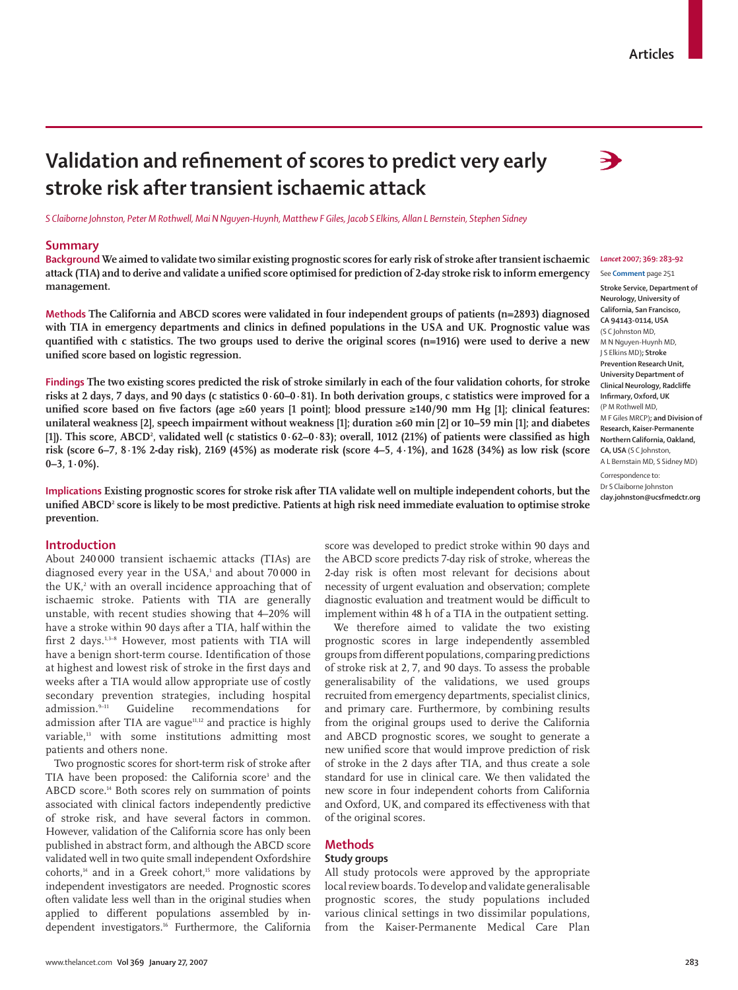# Validation and refinement of scores to predict very early **stroke risk after transient ischaemic attack**

*S Claiborne Johnston, Peter M Rothwell, Mai N Nguyen-Huynh, Matthew F Giles, Jacob S Elkins, Allan L Bernstein, Stephen Sidney*

#### **Summary**

**Background We aimed to validate two similar existing prognostic scores for early risk of stroke after transient ischaemic**  *Lancet* **2007; 369: 283–92** attack (TIA) and to derive and validate a unified score optimised for prediction of 2-day stroke risk to inform emergency **management.**

**Methods The California and ABCD scores were validated in four independent groups of patients (n=2893) diagnosed**  with TIA in emergency departments and clinics in defined populations in the USA and UK. Prognostic value was quantified with c statistics. The two groups used to derive the original scores (n=1916) were used to derive a new unified score based on logistic regression.

**Findings The two existing scores predicted the risk of stroke similarly in each of the four validation cohorts, for stroke risks at 2 days, 7 days, and 90 days (c statistics 0·60–0·81). In both derivation groups, c statistics were improved for a**  unified score based on five factors (age  $\geq 60$  years [1 point]; blood pressure  $\geq 140/90$  mm Hg [1]; clinical features: **unilateral weakness [2], speech impairment without weakness [1]; duration ≥60 min [2] or 10–59 min [1]; and diabetes [1]). This score, ABCD2 , validated well (c statistics 0·62–0·83); overall, 1012 (21%) of patients were classifi ed as high risk (score 6–7, 8·1% 2-day risk), 2169 (45%) as moderate risk (score 4–5, 4·1%), and 1628 (34%) as low risk (score 0–3, 1·0%).** 

**Implications Existing prognostic scores for stroke risk after TIA validate well on multiple independent cohorts, but the unifi ed ABCD2 score is likely to be most predictive. Patients at high risk need immediate evaluation to optimise stroke prevention.** 

## **Introduction**

About 240 000 transient ischaemic attacks (TIAs) are diagnosed every year in the USA,<del>'</del> and about 70 000 in the UK, $^2$  with an overall incidence approaching that of ischaemic stroke. Patients with TIA are generally unstable, with recent studies showing that 4–20% will have a stroke within 90 days after a TIA, half within the first 2 days.<sup>1,3–8</sup> However, most patients with TIA will have a benign short-term course. Identification of those at highest and lowest risk of stroke in the first days and weeks after a TIA would allow appropriate use of costly secondary prevention strategies, including hospital admission.<sup>9-11</sup> Guideline recommendations for admission after TIA are vague $11,12$  and practice is highly variable,<sup>13</sup> with some institutions admitting most patients and others none.

Two prognostic scores for short-term risk of stroke after TIA have been proposed: the California score<sup>3</sup> and the ABCD score.14 Both scores rely on summation of points associated with clinical factors independently predictive of stroke risk, and have several factors in common. However, validation of the California score has only been published in abstract form, and although the ABCD score validated well in two quite small independent Oxfordshire cohorts,<sup>14</sup> and in a Greek cohort,<sup>15</sup> more validations by independent investigators are needed. Prognostic scores often validate less well than in the original studies when applied to different populations assembled by independent investigators.16 Furthermore, the California

score was developed to predict stroke within 90 days and the ABCD score predicts 7-day risk of stroke, whereas the 2-day risk is often most relevant for decisions about necessity of urgent evaluation and observation; complete diagnostic evaluation and treatment would be difficult to implement within 48 h of a TIA in the outpatient setting.

We therefore aimed to validate the two existing prognostic scores in large independently assembled groups from different populations, comparing predictions of stroke risk at 2, 7, and 90 days. To assess the probable generalisability of the validations, we used groups recruited from emergency departments, specialist clinics, and primary care. Furthermore, by combining results from the original groups used to derive the California and ABCD prognostic scores, we sought to generate a new unified score that would improve prediction of risk of stroke in the 2 days after TIA, and thus create a sole standard for use in clinical care. We then validated the new score in four independent cohorts from California and Oxford, UK, and compared its effectiveness with that of the original scores.

# **Methods**

## **Study groups**

All study protocols were approved by the appropriate local review boards. To develop and validate generalisable prognostic scores, the study populations included various clinical settings in two dissimilar populations, from the Kaiser-Permanente Medical Care Plan



See **Comment** page 251 **Stroke Service, Department of Neurology, University of California, San Francisco, CA 94143-0114, USA** (S C Johnston MD, M N Nguyen-Huynh MD, J S Elkins MD)**; Stroke Prevention Research Unit, University Department of Clinical Neurology, Radcliffe Infirmary, Oxford, UK** (P M Rothwell MD, M F Giles MRCP)**; and Division of Research, Kaiser-Permanente Northern California, Oakland, CA, USA** (S C Johnston, A L Bernstain MD, S Sidney MD) Correspondence to: Dr S Claiborne Johnston **clay.johnston@ucsfmedctr.org**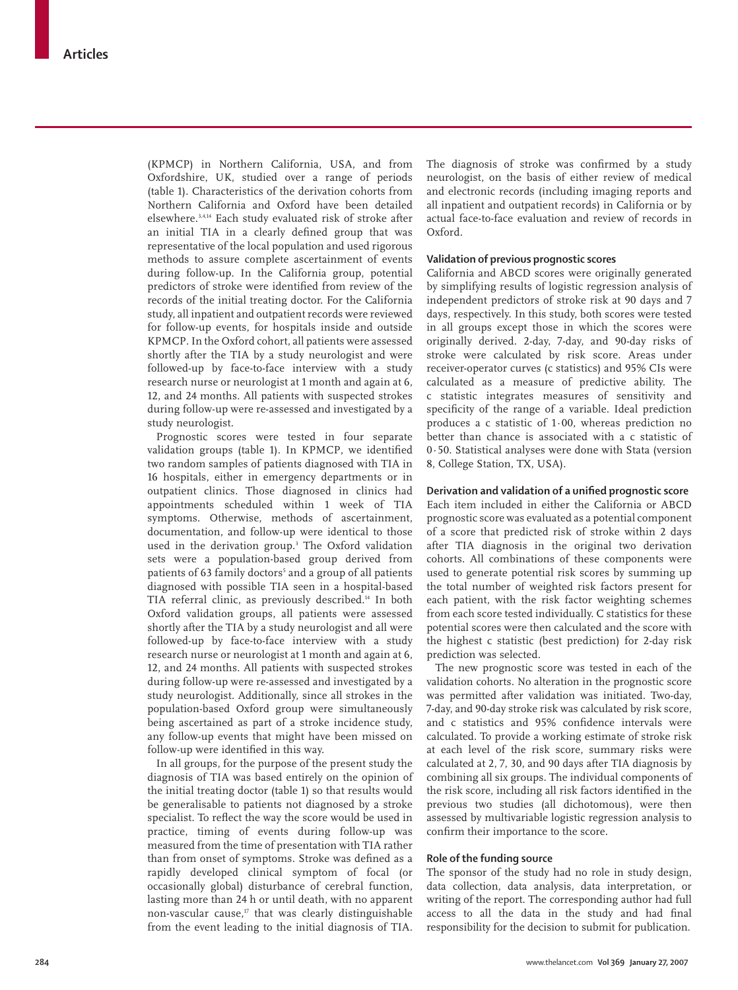(KPMCP) in Northern California, USA, and from Oxfordshire, UK, studied over a range of periods (table 1). Characteristics of the derivation cohorts from Northern California and Oxford have been detailed elsewhere.3,4,14 Each study evaluated risk of stroke after an initial TIA in a clearly defined group that was representative of the local population and used rigorous methods to assure complete ascertainment of events during follow-up. In the California group, potential predictors of stroke were identified from review of the records of the initial treating doctor. For the California study, all inpatient and outpatient records were reviewed for follow-up events, for hospitals inside and outside KPMCP. In the Oxford cohort, all patients were assessed shortly after the TIA by a study neurologist and were followed-up by face-to-face interview with a study research nurse or neurologist at 1 month and again at 6, 12, and 24 months. All patients with suspected strokes during follow-up were re-assessed and investigated by a study neurologist.

Prognostic scores were tested in four separate validation groups (table 1). In KPMCP, we identified two random samples of patients diagnosed with TIA in 16 hospitals, either in emergency departments or in outpatient clinics. Those diagnosed in clinics had appointments scheduled within 1 week of TIA symptoms. Otherwise, methods of ascertainment, documentation, and follow-up were identical to those used in the derivation group.3 The Oxford validation sets were a population-based group derived from patients of 63 family doctors<sup>s</sup> and a group of all patients diagnosed with possible TIA seen in a hospital-based TIA referral clinic, as previously described.<sup>14</sup> In both Oxford validation groups, all patients were assessed shortly after the TIA by a study neurologist and all were followed-up by face-to-face interview with a study research nurse or neurologist at 1 month and again at 6, 12, and 24 months. All patients with suspected strokes during follow-up were re-assessed and investigated by a study neurologist. Additionally, since all strokes in the population-based Oxford group were simultaneously being ascertained as part of a stroke incidence study, any follow-up events that might have been missed on follow-up were identified in this way.

In all groups, for the purpose of the present study the diagnosis of TIA was based entirely on the opinion of the initial treating doctor (table 1) so that results would be generalisable to patients not diagnosed by a stroke specialist. To reflect the way the score would be used in practice, timing of events during follow-up was measured from the time of presentation with TIA rather than from onset of symptoms. Stroke was defined as a rapidly developed clinical symptom of focal (or occasionally global) disturbance of cerebral function, lasting more than 24 h or until death, with no apparent non-vascular cause, $17$  that was clearly distinguishable from the event leading to the initial diagnosis of TIA. The diagnosis of stroke was confirmed by a study neurologist, on the basis of either review of medical and electronic records (including imaging reports and all inpatient and outpatient records) in California or by actual face-to-face evaluation and review of records in Oxford.

## **Validation of previous prognostic scores**

California and ABCD scores were originally generated by simplifying results of logistic regression analysis of independent predictors of stroke risk at 90 days and 7 days, respectively. In this study, both scores were tested in all groups except those in which the scores were originally derived. 2-day, 7-day, and 90-day risks of stroke were calculated by risk score. Areas under receiver-operator curves (c statistics) and 95% CIs were calculated as a measure of predictive ability. The c statistic integrates measures of sensitivity and specificity of the range of a variable. Ideal prediction produces a c statistic of 1·00, whereas prediction no better than chance is associated with a c statistic of 0·50. Statistical analyses were done with Stata (version 8, College Station, TX, USA).

## **Derivation and validation of a unified prognostic score**

Each item included in either the California or ABCD prognostic score was evaluated as a potential component of a score that predicted risk of stroke within 2 days after TIA diagnosis in the original two derivation cohorts. All combinations of these components were used to generate potential risk scores by summing up the total number of weighted risk factors present for each patient, with the risk factor weighting schemes from each score tested individually. C statistics for these potential scores were then calculated and the score with the highest c statistic (best prediction) for 2-day risk prediction was selected.

The new prognostic score was tested in each of the validation cohorts. No alteration in the prognostic score was permitted after validation was initiated. Two-day, 7-day, and 90-day stroke risk was calculated by risk score, and c statistics and 95% confidence intervals were calculated. To provide a working estimate of stroke risk at each level of the risk score, summary risks were calculated at 2, 7, 30, and 90 days after TIA diagnosis by combining all six groups. The individual components of the risk score, including all risk factors identified in the previous two studies (all dichotomous), were then assessed by multivariable logistic regression analysis to confirm their importance to the score.

# **Role of the funding source**

The sponsor of the study had no role in study design, data collection, data analysis, data interpretation, or writing of the report. The corresponding author had full access to all the data in the study and had final responsibility for the decision to submit for publication.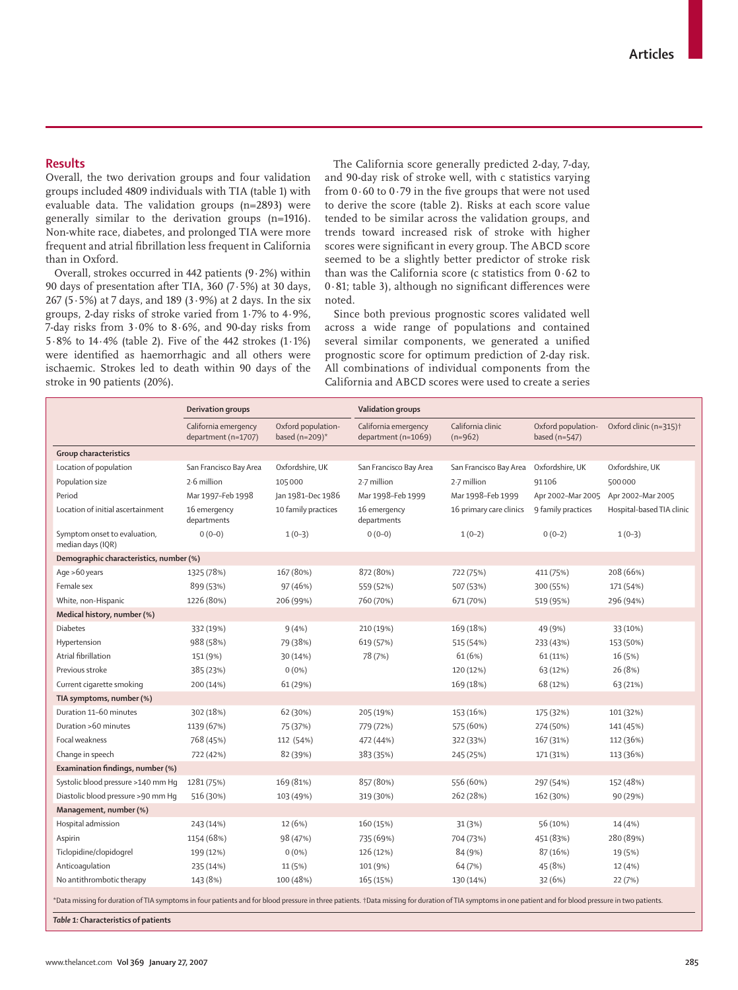# **Results**

Overall, the two derivation groups and four validation groups included 4809 individuals with TIA (table 1) with evaluable data. The validation groups (n=2893) were generally similar to the derivation groups (n=1916). Non-white race, diabetes, and prolonged TIA were more frequent and atrial fibrillation less frequent in California than in Oxford.

Overall, strokes occurred in 442 patients (9·2%) within 90 days of presentation after TIA, 360 (7·5%) at 30 days, 267 (5·5%) at 7 days, and 189 (3·9%) at 2 days. In the six groups, 2-day risks of stroke varied from 1·7% to 4·9%, 7-day risks from 3·0% to 8·6%, and 90-day risks from 5·8% to 14·4% (table 2). Five of the 442 strokes (1·1%) were identified as haemorrhagic and all others were ischaemic. Strokes led to death within 90 days of the stroke in 90 patients (20%).

The California score generally predicted 2-day, 7-day, and 90-day risk of stroke well, with c statistics varying from  $0.60$  to  $0.79$  in the five groups that were not used to derive the score (table 2). Risks at each score value tended to be similar across the validation groups, and trends toward increased risk of stroke with higher scores were significant in every group. The ABCD score seemed to be a slightly better predictor of stroke risk than was the California score (c statistics from 0·62 to  $0.81$ ; table 3), although no significant differences were noted.

Since both previous prognostic scores validated well across a wide range of populations and contained several similar components, we generated a unified prognostic score for optimum prediction of 2-day risk. All combinations of individual components from the California and ABCD scores were used to create a series

| California clinic<br>California emergency<br>Oxford population-<br>California emergency<br>based ( $n=209$ )*<br>department (n=1069)<br>department (n=1707)<br>$(n=962)$<br><b>Group characteristics</b><br>Oxfordshire, UK<br>Location of population<br>San Francisco Bay Area<br>San Francisco Bay Area<br>San Francisco Bay Area<br>2.6 million<br>105000<br>2.7 million<br>2.7 million<br>Population size<br>Mar 1997-Feb 1998<br>Jan 1981-Dec 1986<br>Mar 1998-Feb 1999<br>Mar 1998-Feb 1999<br>Period<br>16 emergency<br>10 family practices<br>16 emergency<br>Location of initial ascertainment<br>16 primary care clinics<br>departments<br>departments<br>$0(0-0)$<br>$0(0-0)$<br>Symptom onset to evaluation,<br>$1(0-3)$<br>$1(0-2)$<br>median days (IQR)<br>Demographic characteristics, number (%)<br>Age >60 years<br>1325 (78%)<br>167 (80%)<br>872 (80%)<br>722 (75%)<br>Female sex<br>899 (53%)<br>97 (46%)<br>559 (52%)<br>507 (53%)<br>White, non-Hispanic<br>1226 (80%)<br>206 (99%)<br>760 (70%)<br>671 (70%)<br>Medical history, number (%)<br>Diabetes<br>332 (19%)<br>9(4%)<br>210 (19%)<br>169 (18%)<br>988 (58%)<br>79 (38%)<br>Hypertension<br>619 (57%)<br>515 (54%)<br>Atrial fibrillation<br>78 (7%)<br>61(6%)<br>151 (9%)<br>30 (14%)<br>Previous stroke<br>385 (23%)<br>$0(0\%)$<br>120 (12%)<br>Current cigarette smoking<br>61 (29%)<br>169 (18%)<br>200 (14%)<br>TIA symptoms, number (%)<br>Duration 11-60 minutes<br>302 (18%)<br>62 (30%)<br>205 (19%)<br>153 (16%)<br>Duration >60 minutes<br>1139 (67%)<br>75 (37%)<br>779 (72%)<br>575 (60%)<br>Focal weakness<br>768 (45%)<br>112 (54%)<br>472 (44%)<br>322 (33%)<br>Change in speech<br>722 (42%)<br>82 (39%)<br>383 (35%)<br>245 (25%)<br>Examination findings, number (%)<br>169 (81%)<br>857 (80%)<br>556 (60%)<br>Systolic blood pressure >140 mm Hq<br>1281 (75%)<br>Diastolic blood pressure >90 mm Hq<br>262 (28%)<br>516 (30%)<br>103 (49%)<br>319 (30%) | Oxford population-<br>based (n=547)<br>Oxfordshire, UK<br>91106<br>Apr 2002-Mar 2005<br>9 family practices<br>$0(0-2)$<br>411 (75%)<br>300 (55%)<br>519 (95%)<br>49 (9%) | Oxford clinic (n=315) <sup>+</sup><br>Oxfordshire, UK<br>500000<br>Apr 2002-Mar 2005<br>Hospital-based TIA clinic<br>$1(0-3)$<br>208 (66%)<br>171 (54%)<br>296 (94%)<br>33 (10%)<br>153 (50%) |
|--------------------------------------------------------------------------------------------------------------------------------------------------------------------------------------------------------------------------------------------------------------------------------------------------------------------------------------------------------------------------------------------------------------------------------------------------------------------------------------------------------------------------------------------------------------------------------------------------------------------------------------------------------------------------------------------------------------------------------------------------------------------------------------------------------------------------------------------------------------------------------------------------------------------------------------------------------------------------------------------------------------------------------------------------------------------------------------------------------------------------------------------------------------------------------------------------------------------------------------------------------------------------------------------------------------------------------------------------------------------------------------------------------------------------------------------------------------------------------------------------------------------------------------------------------------------------------------------------------------------------------------------------------------------------------------------------------------------------------------------------------------------------------------------------------------------------------------------------------------------------------------------------------------------------------------------------------------|--------------------------------------------------------------------------------------------------------------------------------------------------------------------------|-----------------------------------------------------------------------------------------------------------------------------------------------------------------------------------------------|
|                                                                                                                                                                                                                                                                                                                                                                                                                                                                                                                                                                                                                                                                                                                                                                                                                                                                                                                                                                                                                                                                                                                                                                                                                                                                                                                                                                                                                                                                                                                                                                                                                                                                                                                                                                                                                                                                                                                                                              |                                                                                                                                                                          |                                                                                                                                                                                               |
|                                                                                                                                                                                                                                                                                                                                                                                                                                                                                                                                                                                                                                                                                                                                                                                                                                                                                                                                                                                                                                                                                                                                                                                                                                                                                                                                                                                                                                                                                                                                                                                                                                                                                                                                                                                                                                                                                                                                                              |                                                                                                                                                                          |                                                                                                                                                                                               |
|                                                                                                                                                                                                                                                                                                                                                                                                                                                                                                                                                                                                                                                                                                                                                                                                                                                                                                                                                                                                                                                                                                                                                                                                                                                                                                                                                                                                                                                                                                                                                                                                                                                                                                                                                                                                                                                                                                                                                              |                                                                                                                                                                          |                                                                                                                                                                                               |
|                                                                                                                                                                                                                                                                                                                                                                                                                                                                                                                                                                                                                                                                                                                                                                                                                                                                                                                                                                                                                                                                                                                                                                                                                                                                                                                                                                                                                                                                                                                                                                                                                                                                                                                                                                                                                                                                                                                                                              |                                                                                                                                                                          |                                                                                                                                                                                               |
|                                                                                                                                                                                                                                                                                                                                                                                                                                                                                                                                                                                                                                                                                                                                                                                                                                                                                                                                                                                                                                                                                                                                                                                                                                                                                                                                                                                                                                                                                                                                                                                                                                                                                                                                                                                                                                                                                                                                                              |                                                                                                                                                                          |                                                                                                                                                                                               |
|                                                                                                                                                                                                                                                                                                                                                                                                                                                                                                                                                                                                                                                                                                                                                                                                                                                                                                                                                                                                                                                                                                                                                                                                                                                                                                                                                                                                                                                                                                                                                                                                                                                                                                                                                                                                                                                                                                                                                              |                                                                                                                                                                          |                                                                                                                                                                                               |
|                                                                                                                                                                                                                                                                                                                                                                                                                                                                                                                                                                                                                                                                                                                                                                                                                                                                                                                                                                                                                                                                                                                                                                                                                                                                                                                                                                                                                                                                                                                                                                                                                                                                                                                                                                                                                                                                                                                                                              |                                                                                                                                                                          |                                                                                                                                                                                               |
|                                                                                                                                                                                                                                                                                                                                                                                                                                                                                                                                                                                                                                                                                                                                                                                                                                                                                                                                                                                                                                                                                                                                                                                                                                                                                                                                                                                                                                                                                                                                                                                                                                                                                                                                                                                                                                                                                                                                                              |                                                                                                                                                                          |                                                                                                                                                                                               |
|                                                                                                                                                                                                                                                                                                                                                                                                                                                                                                                                                                                                                                                                                                                                                                                                                                                                                                                                                                                                                                                                                                                                                                                                                                                                                                                                                                                                                                                                                                                                                                                                                                                                                                                                                                                                                                                                                                                                                              |                                                                                                                                                                          |                                                                                                                                                                                               |
|                                                                                                                                                                                                                                                                                                                                                                                                                                                                                                                                                                                                                                                                                                                                                                                                                                                                                                                                                                                                                                                                                                                                                                                                                                                                                                                                                                                                                                                                                                                                                                                                                                                                                                                                                                                                                                                                                                                                                              |                                                                                                                                                                          |                                                                                                                                                                                               |
|                                                                                                                                                                                                                                                                                                                                                                                                                                                                                                                                                                                                                                                                                                                                                                                                                                                                                                                                                                                                                                                                                                                                                                                                                                                                                                                                                                                                                                                                                                                                                                                                                                                                                                                                                                                                                                                                                                                                                              |                                                                                                                                                                          |                                                                                                                                                                                               |
|                                                                                                                                                                                                                                                                                                                                                                                                                                                                                                                                                                                                                                                                                                                                                                                                                                                                                                                                                                                                                                                                                                                                                                                                                                                                                                                                                                                                                                                                                                                                                                                                                                                                                                                                                                                                                                                                                                                                                              |                                                                                                                                                                          |                                                                                                                                                                                               |
|                                                                                                                                                                                                                                                                                                                                                                                                                                                                                                                                                                                                                                                                                                                                                                                                                                                                                                                                                                                                                                                                                                                                                                                                                                                                                                                                                                                                                                                                                                                                                                                                                                                                                                                                                                                                                                                                                                                                                              |                                                                                                                                                                          |                                                                                                                                                                                               |
|                                                                                                                                                                                                                                                                                                                                                                                                                                                                                                                                                                                                                                                                                                                                                                                                                                                                                                                                                                                                                                                                                                                                                                                                                                                                                                                                                                                                                                                                                                                                                                                                                                                                                                                                                                                                                                                                                                                                                              | 233 (43%)                                                                                                                                                                |                                                                                                                                                                                               |
|                                                                                                                                                                                                                                                                                                                                                                                                                                                                                                                                                                                                                                                                                                                                                                                                                                                                                                                                                                                                                                                                                                                                                                                                                                                                                                                                                                                                                                                                                                                                                                                                                                                                                                                                                                                                                                                                                                                                                              | 61(11%)                                                                                                                                                                  | 16 (5%)                                                                                                                                                                                       |
|                                                                                                                                                                                                                                                                                                                                                                                                                                                                                                                                                                                                                                                                                                                                                                                                                                                                                                                                                                                                                                                                                                                                                                                                                                                                                                                                                                                                                                                                                                                                                                                                                                                                                                                                                                                                                                                                                                                                                              | 63 (12%)                                                                                                                                                                 | 26 (8%)                                                                                                                                                                                       |
|                                                                                                                                                                                                                                                                                                                                                                                                                                                                                                                                                                                                                                                                                                                                                                                                                                                                                                                                                                                                                                                                                                                                                                                                                                                                                                                                                                                                                                                                                                                                                                                                                                                                                                                                                                                                                                                                                                                                                              | 68 (12%)                                                                                                                                                                 | 63 (21%)                                                                                                                                                                                      |
|                                                                                                                                                                                                                                                                                                                                                                                                                                                                                                                                                                                                                                                                                                                                                                                                                                                                                                                                                                                                                                                                                                                                                                                                                                                                                                                                                                                                                                                                                                                                                                                                                                                                                                                                                                                                                                                                                                                                                              |                                                                                                                                                                          |                                                                                                                                                                                               |
|                                                                                                                                                                                                                                                                                                                                                                                                                                                                                                                                                                                                                                                                                                                                                                                                                                                                                                                                                                                                                                                                                                                                                                                                                                                                                                                                                                                                                                                                                                                                                                                                                                                                                                                                                                                                                                                                                                                                                              | 175 (32%)                                                                                                                                                                | 101 (32%)                                                                                                                                                                                     |
|                                                                                                                                                                                                                                                                                                                                                                                                                                                                                                                                                                                                                                                                                                                                                                                                                                                                                                                                                                                                                                                                                                                                                                                                                                                                                                                                                                                                                                                                                                                                                                                                                                                                                                                                                                                                                                                                                                                                                              | 274 (50%)                                                                                                                                                                | 141 (45%)                                                                                                                                                                                     |
|                                                                                                                                                                                                                                                                                                                                                                                                                                                                                                                                                                                                                                                                                                                                                                                                                                                                                                                                                                                                                                                                                                                                                                                                                                                                                                                                                                                                                                                                                                                                                                                                                                                                                                                                                                                                                                                                                                                                                              | 167 (31%)                                                                                                                                                                | 112 (36%)                                                                                                                                                                                     |
|                                                                                                                                                                                                                                                                                                                                                                                                                                                                                                                                                                                                                                                                                                                                                                                                                                                                                                                                                                                                                                                                                                                                                                                                                                                                                                                                                                                                                                                                                                                                                                                                                                                                                                                                                                                                                                                                                                                                                              | 171 (31%)                                                                                                                                                                | 113 (36%)                                                                                                                                                                                     |
|                                                                                                                                                                                                                                                                                                                                                                                                                                                                                                                                                                                                                                                                                                                                                                                                                                                                                                                                                                                                                                                                                                                                                                                                                                                                                                                                                                                                                                                                                                                                                                                                                                                                                                                                                                                                                                                                                                                                                              |                                                                                                                                                                          |                                                                                                                                                                                               |
|                                                                                                                                                                                                                                                                                                                                                                                                                                                                                                                                                                                                                                                                                                                                                                                                                                                                                                                                                                                                                                                                                                                                                                                                                                                                                                                                                                                                                                                                                                                                                                                                                                                                                                                                                                                                                                                                                                                                                              | 297 (54%)                                                                                                                                                                | 152 (48%)                                                                                                                                                                                     |
|                                                                                                                                                                                                                                                                                                                                                                                                                                                                                                                                                                                                                                                                                                                                                                                                                                                                                                                                                                                                                                                                                                                                                                                                                                                                                                                                                                                                                                                                                                                                                                                                                                                                                                                                                                                                                                                                                                                                                              | 162 (30%)                                                                                                                                                                | 90 (29%)                                                                                                                                                                                      |
| Management, number (%)                                                                                                                                                                                                                                                                                                                                                                                                                                                                                                                                                                                                                                                                                                                                                                                                                                                                                                                                                                                                                                                                                                                                                                                                                                                                                                                                                                                                                                                                                                                                                                                                                                                                                                                                                                                                                                                                                                                                       |                                                                                                                                                                          |                                                                                                                                                                                               |
| Hospital admission<br>12 (6%)<br>160 (15%)<br>243 (14%)<br>31 (3%)                                                                                                                                                                                                                                                                                                                                                                                                                                                                                                                                                                                                                                                                                                                                                                                                                                                                                                                                                                                                                                                                                                                                                                                                                                                                                                                                                                                                                                                                                                                                                                                                                                                                                                                                                                                                                                                                                           | 56 (10%)                                                                                                                                                                 | 14 (4%)                                                                                                                                                                                       |
| 1154 (68%)<br>Aspirin<br>98 (47%)<br>735 (69%)<br>704 (73%)                                                                                                                                                                                                                                                                                                                                                                                                                                                                                                                                                                                                                                                                                                                                                                                                                                                                                                                                                                                                                                                                                                                                                                                                                                                                                                                                                                                                                                                                                                                                                                                                                                                                                                                                                                                                                                                                                                  | 451 (83%)                                                                                                                                                                | 280 (89%)                                                                                                                                                                                     |
| Ticlopidine/clopidogrel<br>199 (12%)<br>$0(0\%)$<br>126 (12%)<br>84 (9%)                                                                                                                                                                                                                                                                                                                                                                                                                                                                                                                                                                                                                                                                                                                                                                                                                                                                                                                                                                                                                                                                                                                                                                                                                                                                                                                                                                                                                                                                                                                                                                                                                                                                                                                                                                                                                                                                                     |                                                                                                                                                                          | 19 (5%)                                                                                                                                                                                       |
| Anticoagulation<br>64 (7%)<br>235 (14%)<br>11 (5%)<br>101 (9%)                                                                                                                                                                                                                                                                                                                                                                                                                                                                                                                                                                                                                                                                                                                                                                                                                                                                                                                                                                                                                                                                                                                                                                                                                                                                                                                                                                                                                                                                                                                                                                                                                                                                                                                                                                                                                                                                                               | 87 (16%)                                                                                                                                                                 | 12 (4%)                                                                                                                                                                                       |
| No antithrombotic therapy<br>143 (8%)<br>100 (48%)<br>165 (15%)<br>130 (14%)                                                                                                                                                                                                                                                                                                                                                                                                                                                                                                                                                                                                                                                                                                                                                                                                                                                                                                                                                                                                                                                                                                                                                                                                                                                                                                                                                                                                                                                                                                                                                                                                                                                                                                                                                                                                                                                                                 | 45 (8%)                                                                                                                                                                  | 22 (7%)                                                                                                                                                                                       |
| *Data missing for duration of TIA symptoms in four patients and for blood pressure in three patients. †Data missing for duration of TIA symptoms in one patient and for blood pressure in two patients.                                                                                                                                                                                                                                                                                                                                                                                                                                                                                                                                                                                                                                                                                                                                                                                                                                                                                                                                                                                                                                                                                                                                                                                                                                                                                                                                                                                                                                                                                                                                                                                                                                                                                                                                                      | 32(6%)                                                                                                                                                                   |                                                                                                                                                                                               |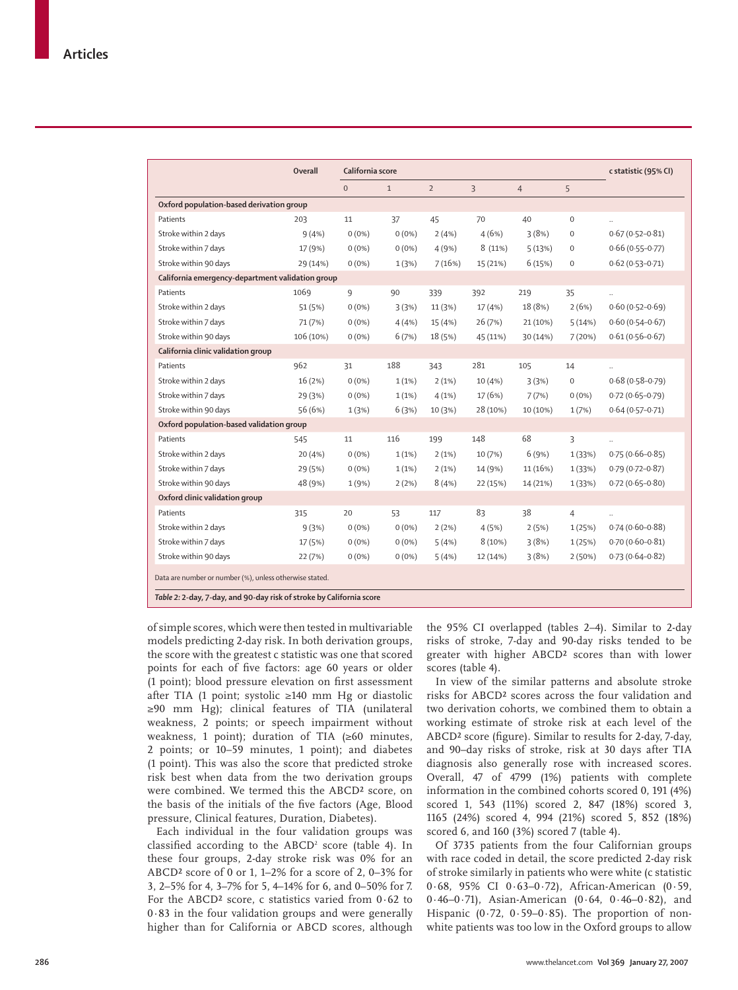|                                                         | <b>Overall</b> | California score | c statistic (95% CI) |                |                |                |                |                      |  |  |
|---------------------------------------------------------|----------------|------------------|----------------------|----------------|----------------|----------------|----------------|----------------------|--|--|
|                                                         |                | $\mathbf{0}$     | $\mathbf{1}$         | $\overline{2}$ | $\overline{3}$ | $\overline{4}$ | 5              |                      |  |  |
| Oxford population-based derivation group                |                |                  |                      |                |                |                |                |                      |  |  |
| Patients                                                | 203            | 11               | 37                   | 45             | 70             | 40             | $\mathbf 0$    | ÷.                   |  |  |
| Stroke within 2 days                                    | 9(4%)          | $0(0\%)$         | $0(0\%)$             | 2(4%)          | 4(6%)          | 3(8%)          | $\mathbf 0$    | $0.67(0.52 - 0.81)$  |  |  |
| Stroke within 7 days                                    | 17 (9%)        | $0(0\%)$         | $0(0\%)$             | 4(9%)          | 8(11%)         | 5(13%)         | $\mathbf 0$    | $0.66(0.55 - 0.77)$  |  |  |
| Stroke within 90 days                                   | 29 (14%)       | $0(0\%)$         | 1(3%)                | 7(16%)         | 15 (21%)       | 6(15%)         | $\mathbf 0$    | $0.62(0.53 - 0.71)$  |  |  |
| California emergency-department validation group        |                |                  |                      |                |                |                |                |                      |  |  |
| Patients                                                | 1069           | 9                | 90                   | 339            | 392            | 219            | 35             | $\ddot{\phantom{a}}$ |  |  |
| Stroke within 2 days                                    | 51 (5%)        | $0(0\%)$         | 3(3%)                | 11(3%)         | 17 (4%)        | 18 (8%)        | 2(6%)          | $0.60(0.52 - 0.69)$  |  |  |
| Stroke within 7 days                                    | 71 (7%)        | $0(0\%)$         | 4(4% )               | 15 (4%)        | 26 (7%)        | 21 (10%)       | 5(14%)         | $0.60(0.54 - 0.67)$  |  |  |
| Stroke within 90 days                                   | 106 (10%)      | $0(0\%)$         | 6(7%)                | 18 (5%)        | 45 (11%)       | 30 (14%)       | 7(20%)         | $0.61(0.56 - 0.67)$  |  |  |
| California clinic validation group                      |                |                  |                      |                |                |                |                |                      |  |  |
| Patients                                                | 962            | 31               | 188                  | 343            | 281            | 105            | 14             |                      |  |  |
| Stroke within 2 days                                    | 16(2%)         | $0(0\%)$         | 1(1%)                | 2(1%)          | 10(4% )        | 3(3%)          | $\mathbf 0$    | $0.68(0.58 - 0.79)$  |  |  |
| Stroke within 7 days                                    | 29(3%)         | $0(0\%)$         | $1(1\%)$             | 4(1%)          | 17(6%)         | 7(7%)          | $0(0\%)$       | $0.72(0.65 - 0.79)$  |  |  |
| Stroke within 90 days                                   | 56 (6%)        | 1(3%)            | 6(3%)                | 10(3%)         | 28 (10%)       | 10 (10%)       | 1(7%)          | $0.64(0.57-0.71)$    |  |  |
| Oxford population-based validation group                |                |                  |                      |                |                |                |                |                      |  |  |
| Patients                                                | 545            | 11               | 116                  | 199            | 148            | 68             | 3              | $\ddot{\phantom{a}}$ |  |  |
| Stroke within 2 days                                    | 20(4%)         | $0(0\%)$         | 1(1%)                | 2(1%)          | 10 (7%)        | 6(9%)          | 1(33%)         | $0.75(0.66 - 0.85)$  |  |  |
| Stroke within 7 days                                    | 29 (5%)        | $0(0\%)$         | 1(1%)                | 2(1%)          | 14 (9%)        | 11 (16%)       | 1(33%)         | $0.79(0.72 - 0.87)$  |  |  |
| Stroke within 90 days                                   | 48 (9%)        | 1(9%)            | 2(2%)                | 8(4%)          | 22 (15%)       | 14 (21%)       | 1(33%)         | $0.72(0.65 - 0.80)$  |  |  |
| Oxford clinic validation group                          |                |                  |                      |                |                |                |                |                      |  |  |
| Patients                                                | 315            | 20               | 53                   | 117            | 83             | 38             | $\overline{4}$ |                      |  |  |
| Stroke within 2 days                                    | 9(3%)          | $0(0\%)$         | $0(0\%)$             | 2(2%)          | 4(5%)          | 2(5%)          | 1(25%)         | $0.74(0.60 - 0.88)$  |  |  |
| Stroke within 7 days                                    | 17 (5%)        | $0(0\%)$         | $0(0\%)$             | 5(4%)          | 8(10%)         | 3(8%)          | 1(25%)         | $0.70(0.60 - 0.81)$  |  |  |
| Stroke within 90 days                                   | 22 (7%)        | $0(0\%)$         | $0(0\%)$             | 5(4%)          | 12 (14%)       | 3(8%)          | 2(50%)         | $0.73(0.64 - 0.82)$  |  |  |
| Data are number or number (%), unless otherwise stated. |                |                  |                      |                |                |                |                |                      |  |  |

*Table 2:* **2-day, 7-day, and 90-day risk of stroke by California score** 

of simple scores, which were then tested in multivariable models predicting 2-day risk. In both derivation groups, the score with the greatest c statistic was one that scored points for each of five factors: age 60 years or older (1 point); blood pressure elevation on first assessment after TIA (1 point; systolic ≥140 mm Hg or diastolic ≥90 mm Hg); clinical features of TIA (unilateral weakness, 2 points; or speech impairment without weakness, 1 point); duration of TIA (≥60 minutes, 2 points; or 10–59 minutes, 1 point); and diabetes (1 point). This was also the score that predicted stroke risk best when data from the two derivation groups were combined. We termed this the ABCD² score, on the basis of the initials of the five factors (Age, Blood pressure, Clinical features, Duration, Diabetes).

Each individual in the four validation groups was classified according to the  $ABCD^2$  score (table 4). In these four groups, 2-day stroke risk was 0% for an ABCD² score of 0 or 1, 1–2% for a score of 2, 0–3% for 3, 2–5% for 4, 3–7% for 5, 4–14% for 6, and 0–50% for 7. For the ABCD² score, c statistics varied from 0·62 to 0·83 in the four validation groups and were generally higher than for California or ABCD scores, although

the 95% CI overlapped (tables 2–4). Similar to 2-day risks of stroke, 7-day and 90-day risks tended to be greater with higher ABCD² scores than with lower scores (table 4).

In view of the similar patterns and absolute stroke risks for ABCD² scores across the four validation and two derivation cohorts, we combined them to obtain a working estimate of stroke risk at each level of the ABCD<sup>2</sup> score (figure). Similar to results for 2-day, 7-day. and 90–day risks of stroke, risk at 30 days after TIA diagnosis also generally rose with increased scores. Overall, 47 of 4799 (1%) patients with complete information in the combined cohorts scored 0, 191 (4%) scored 1, 543 (11%) scored 2, 847 (18%) scored 3, 1165 (24%) scored 4, 994 (21%) scored 5, 852 (18%) scored 6, and 160 (3%) scored 7 (table 4).

Of 3735 patients from the four Californian groups with race coded in detail, the score predicted 2-day risk of stroke similarly in patients who were white (c statistic 0·68, 95% CI 0·63–0·72), African-American (0·59, 0·46–0·71), Asian-American (0·64, 0·46–0·82), and Hispanic  $(0.72, 0.59-0.85)$ . The proportion of nonwhite patients was too low in the Oxford groups to allow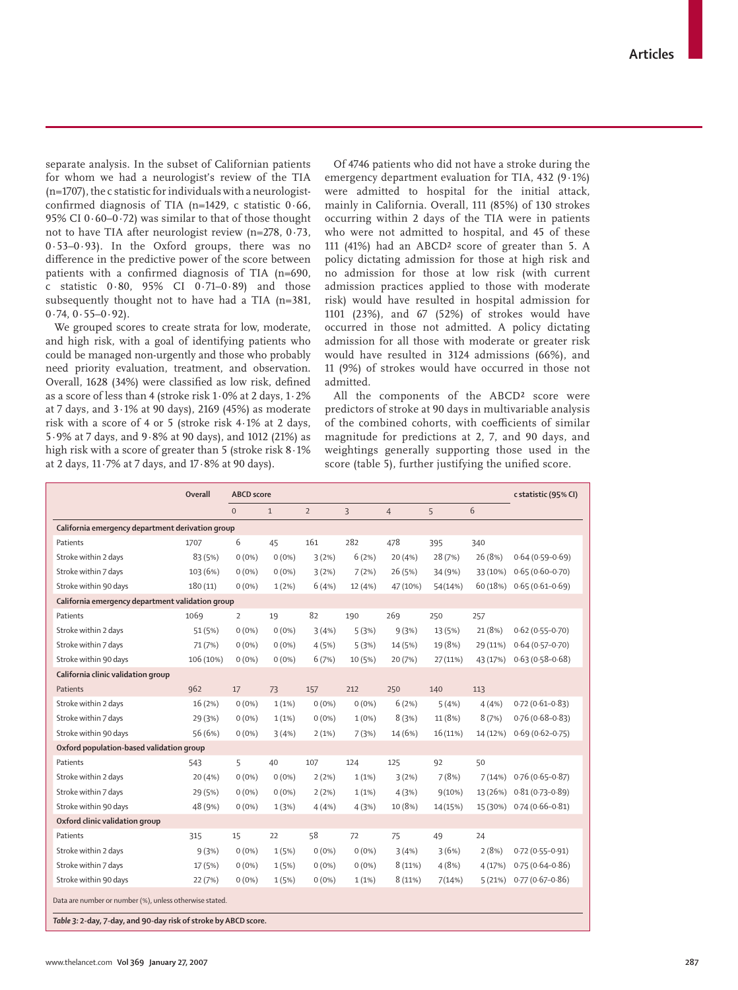separate analysis. In the subset of Californian patients for whom we had a neurologist's review of the TIA (n=1707), the c statistic for individuals with a neurologistconfirmed diagnosis of TIA (n=1429, c statistic  $0.66$ , 95% CI 0·60–0·72) was similar to that of those thought not to have TIA after neurologist review (n=278, 0·73, 0·53–0·93). In the Oxford groups, there was no difference in the predictive power of the score between patients with a confirmed diagnosis of TIA ( $n=690$ , c statistic 0·80, 95% CI 0·71–0·89) and those subsequently thought not to have had a TIA (n=381,  $0.74, 0.55 - 0.92$ .

We grouped scores to create strata for low, moderate, and high risk, with a goal of identifying patients who could be managed non-urgently and those who probably need priority evaluation, treatment, and observation. Overall, 1628 (34%) were classified as low risk, defined as a score of less than 4 (stroke risk 1·0% at 2 days, 1·2% at 7 days, and 3·1% at 90 days), 2169 (45%) as moderate risk with a score of 4 or 5 (stroke risk 4·1% at 2 days, 5·9% at 7 days, and 9·8% at 90 days), and 1012 (21%) as high risk with a score of greater than 5 (stroke risk 8·1% at 2 days, 11·7% at 7 days, and 17·8% at 90 days).

Of 4746 patients who did not have a stroke during the emergency department evaluation for TIA, 432 (9·1%) were admitted to hospital for the initial attack, mainly in California. Overall, 111 (85%) of 130 strokes occurring within 2 days of the TIA were in patients who were not admitted to hospital, and 45 of these 111 (41%) had an ABCD² score of greater than 5. A policy dictating admission for those at high risk and no admission for those at low risk (with current admission practices applied to those with moderate risk) would have resulted in hospital admission for 1101 (23%), and 67 (52%) of strokes would have occurred in those not admitted. A policy dictating admission for all those with moderate or greater risk would have resulted in 3124 admissions (66%), and 11 (9%) of strokes would have occurred in those not admitted.

All the components of the ABCD<sup>2</sup> score were predictors of stroke at 90 days in multivariable analysis of the combined cohorts, with coefficients of similar magnitude for predictions at 2, 7, and 90 days, and weightings generally supporting those used in the score (table 5), further justifying the unified score.

|                                                                                                                            | Overall   | <b>ABCD</b> score |              |                |                |                |          |          | c statistic (95% CI) |  |  |
|----------------------------------------------------------------------------------------------------------------------------|-----------|-------------------|--------------|----------------|----------------|----------------|----------|----------|----------------------|--|--|
|                                                                                                                            |           | $\mathbf{0}$      | $\mathbf{1}$ | $\overline{2}$ | $\overline{3}$ | $\overline{4}$ | 5        | 6        |                      |  |  |
| California emergency department derivation group                                                                           |           |                   |              |                |                |                |          |          |                      |  |  |
| Patients                                                                                                                   | 1707      | 6                 | 45           | 161            | 282            | 478            | 395      | 340      |                      |  |  |
| Stroke within 2 days                                                                                                       | 83 (5%)   | $0(0\%)$          | $0(0\%)$     | 3(2%)          | 6(2%)          | 20(4%          | 28 (7%)  | 26 (8%)  | $0.64(0.59 - 0.69)$  |  |  |
| Stroke within 7 days                                                                                                       | 103 (6%)  | $0(0\%)$          | $0(0\%)$     | 3(2%)          | 7(2%)          | 26 (5%)        | 34 (9%)  | 33 (10%) | $0.65(0.60 - 0.70)$  |  |  |
| Stroke within 90 days                                                                                                      | 180(11)   | $0(0\%)$          | 1(2%)        | 6(4%)          | 12 (4%)        | 47 (10%)       | 54(14%)  | 60 (18%) | $0.65(0.61 - 0.69)$  |  |  |
| California emergency department validation group                                                                           |           |                   |              |                |                |                |          |          |                      |  |  |
| Patients                                                                                                                   | 1069      | 2                 | 19           | 82             | 190            | 269            | 250      | 257      |                      |  |  |
| Stroke within 2 days                                                                                                       | 51 (5%)   | $0(0\%)$          | $0(0\%)$     | 3(4%)          | 5(3%)          | 9(3%)          | 13 (5%)  | 21 (8%)  | $0.62(0.55 - 0.70)$  |  |  |
| Stroke within 7 days                                                                                                       | 71 (7%)   | $0(0\%)$          | $0(0\%)$     | 4(5%)          | 5(3%)          | 14 (5%)        | 19 (8%)  | 29 (11%) | $0.64(0.57-0.70)$    |  |  |
| Stroke within 90 days                                                                                                      | 106 (10%) | $0(0\%)$          | $0(0\%)$     | 6(7%)          | 10 (5%)        | 20(7%)         | 27(11%)  | 43 (17%) | $0.63(0.58 - 0.68)$  |  |  |
| California clinic validation group                                                                                         |           |                   |              |                |                |                |          |          |                      |  |  |
| Patients                                                                                                                   | 962       | 17                | 73           | 157            | 212            | 250            | 140      | 113      |                      |  |  |
| Stroke within 2 days                                                                                                       | 16 (2%)   | $0(0\%)$          | 1(1%)        | $0(0\%)$       | $0(0\%)$       | 6(2%)          | 5(4%)    | 4(4%     | $0.72(0.61 - 0.83)$  |  |  |
| Stroke within 7 days                                                                                                       | 29 (3%)   | $0(0\%)$          | 1(1%)        | $0(0\%)$       | $1(0\%)$       | 8(3%)          | 11 (8%)  | 8(7%)    | $0.76(0.68 - 0.83)$  |  |  |
| Stroke within 90 days                                                                                                      | 56 (6%)   | $0(0\%)$          | 3(4%)        | 2(1%)          | 7(3%)          | 14 (6%)        | 16 (11%) | 14 (12%) | $0.69(0.62 - 0.75)$  |  |  |
| Oxford population-based validation group                                                                                   |           |                   |              |                |                |                |          |          |                      |  |  |
| Patients                                                                                                                   | 543       | 5                 | 40           | 107            | 124            | 125            | 92       | 50       |                      |  |  |
| Stroke within 2 days                                                                                                       | 20(4%)    | $0(0\%)$          | $0(0\%)$     | 2(2%)          | 1(1%)          | 3(2%)          | 7(8%)    | 7(14%)   | $0.76(0.65 - 0.87)$  |  |  |
| Stroke within 7 days                                                                                                       | 29 (5%)   | $0(0\%)$          | $0(0\%)$     | 2(2%)          | 1(1%)          | 4(3%)          | 9(10%)   | 13 (26%) | $0.81(0.73 - 0.89)$  |  |  |
| Stroke within 90 days                                                                                                      | 48 (9%)   | $0(0\%)$          | 1(3%)        | 4(4%)          | 4(3%)          | 10 (8%)        | 14(15%)  | 15 (30%) | $0.74(0.66 - 0.81)$  |  |  |
| Oxford clinic validation group                                                                                             |           |                   |              |                |                |                |          |          |                      |  |  |
| Patients                                                                                                                   | 315       | 15                | 22           | 58             | 72             | 75             | 49       | 24       |                      |  |  |
| Stroke within 2 days                                                                                                       | 9(3%)     | $0(0\%)$          | 1(5%)        | $0(0\%)$       | $0(0\%)$       | 3(4%)          | 3(6%)    | 2(8%)    | $0.72(0.55 - 0.91)$  |  |  |
| Stroke within 7 days                                                                                                       | 17 (5%)   | $0(0\%)$          | 1(5%)        | $0(0\%)$       | $0(0\%)$       | 8(11%)         | 4(8%)    | 4(17%)   | $0.75(0.64 - 0.86)$  |  |  |
| Stroke within 90 days                                                                                                      | 22 (7%)   | $0(0\%)$          | 1(5%)        | $0(0\%)$       | 1(1%)          | 8(11%)         | 7(14%)   | 5(21%)   | $0.77(0.67 - 0.86)$  |  |  |
| Data are number or number (%), unless otherwise stated.<br>Table 3: 2-day, 7-day, and 90-day risk of stroke by ABCD score. |           |                   |              |                |                |                |          |          |                      |  |  |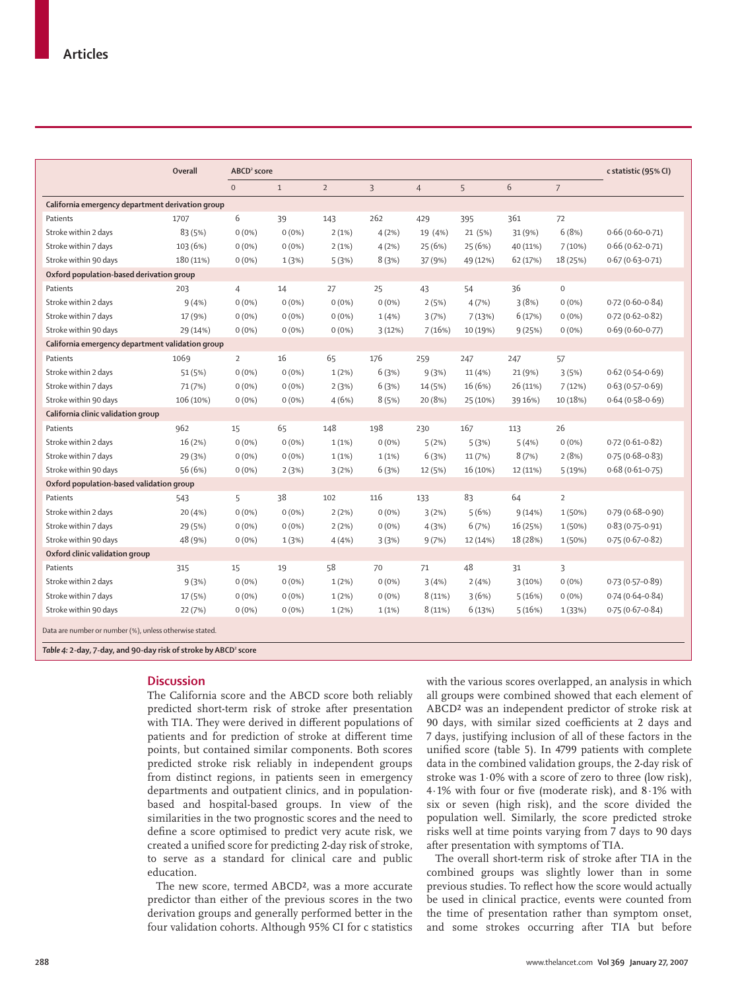|                                                                             | Overall   | ABCD <sup>2</sup> score |              |                |          |                |          |          |                     | c statistic (95% CI) |
|-----------------------------------------------------------------------------|-----------|-------------------------|--------------|----------------|----------|----------------|----------|----------|---------------------|----------------------|
|                                                                             |           | $\mathbf{0}$            | $\mathbf{1}$ | $\overline{2}$ | 3        | $\overline{4}$ | 5        | 6        | $\overline{7}$      |                      |
| California emergency department derivation group                            |           |                         |              |                |          |                |          |          |                     |                      |
| Patients                                                                    | 1707      | 6                       | 39           | 143            | 262      | 429            | 395      | 361      | 72                  |                      |
| Stroke within 2 days                                                        | 83 (5%)   | $0(0\%)$                | $0(0\%)$     | 2(1%)          | 4(2%)    | 19 (4%)        | 21 (5%)  | 31 (9%)  | 6(8%)               | $0.66(0.60 - 0.71)$  |
| Stroke within 7 days                                                        | 103 (6%)  | $0(0\%)$                | $0(0\%)$     | 2(1%)          | 4(2%)    | 25 (6%)        | 25 (6%)  | 40 (11%) | 7(10%)              | $0.66(0.62 - 0.71)$  |
| Stroke within 90 days                                                       | 180 (11%) | $0(0\%)$                | 1(3%)        | 5(3%)          | 8(3%)    | 37 (9%)        | 49 (12%) | 62 (17%) | 18 (25%)            | $0.67(0.63 - 0.71)$  |
| Oxford population-based derivation group                                    |           |                         |              |                |          |                |          |          |                     |                      |
| Patients                                                                    | 203       | $\overline{4}$          | 14           | 27             | 25       | 43             | 54       | 36       | $\mathsf{O}\xspace$ |                      |
| Stroke within 2 days                                                        | 9(4% )    | $0(0\%)$                | $0(0\%)$     | $0(0\%)$       | $0(0\%)$ | 2(5%)          | 4(7%)    | 3(8%)    | $0(0\%)$            | $0.72(0.60 - 0.84)$  |
| Stroke within 7 days                                                        | 17 (9%)   | $0(0\%)$                | $0(0\%)$     | $0(0\%)$       | 1(4% )   | 3(7%)          | 7(13%)   | 6(17%)   | $0(0\%)$            | $0.72(0.62 - 0.82)$  |
| Stroke within 90 days                                                       | 29 (14%)  | $0(0\%)$                | $0(0\%)$     | $0(0\%)$       | 3(12%)   | 7(16%)         | 10 (19%) | 9(25%)   | $0(0\%)$            | $0.69(0.60 - 0.77)$  |
| California emergency department validation group                            |           |                         |              |                |          |                |          |          |                     |                      |
| Patients                                                                    | 1069      | $\overline{2}$          | 16           | 65             | 176      | 259            | 247      | 247      | 57                  |                      |
| Stroke within 2 days                                                        | 51 (5%)   | $0(0\%)$                | $0(0\%)$     | $1(2\%)$       | 6(3%)    | 9(3%)          | 11(4%)   | 21 (9%)  | 3(5%)               | $0.62(0.54 - 0.69)$  |
| Stroke within 7 days                                                        | 71 (7%)   | $0(0\%)$                | $0(0\%)$     | 2(3%)          | 6(3%)    | 14 (5%)        | 16 (6%)  | 26 (11%) | 7(12%)              | $0.63(0.57 - 0.69)$  |
| Stroke within 90 days                                                       | 106 (10%) | $0(0\%)$                | $0(0\%)$     | 4(6%)          | 8(5%)    | 20 (8%)        | 25 (10%) | 39 16%)  | 10 (18%)            | $0.64(0.58-0.69)$    |
| California clinic validation group                                          |           |                         |              |                |          |                |          |          |                     |                      |
| Patients                                                                    | 962       | 15                      | 65           | 148            | 198      | 230            | 167      | 113      | 26                  |                      |
| Stroke within 2 days                                                        | 16 (2%)   | $0(0\%)$                | $0(0\%)$     | 1(1%)          | $0(0\%)$ | 5(2%)          | 5(3%)    | 5(4%)    | $0(0\%)$            | $0.72(0.61 - 0.82)$  |
| Stroke within 7 days                                                        | 29 (3%)   | $0(0\%)$                | $0(0\%)$     | 1(1%)          | 1(1%)    | 6(3%)          | 11 (7%)  | 8(7%)    | 2(8%)               | $0.75(0.68 - 0.83)$  |
| Stroke within 90 days                                                       | 56 (6%)   | $0(0\%)$                | 2(3%)        | 3(2%)          | 6(3%)    | 12 (5%)        | 16 (10%) | 12 (11%) | 5(19%)              | $0.68(0.61 - 0.75)$  |
| Oxford population-based validation group                                    |           |                         |              |                |          |                |          |          |                     |                      |
| Patients                                                                    | 543       | 5                       | 38           | 102            | 116      | 133            | 83       | 64       | $\overline{2}$      |                      |
| Stroke within 2 days                                                        | 20 (4%)   | $0(0\%)$                | $0(0\%)$     | 2(2%)          | $0(0\%)$ | 3(2%)          | 5(6%)    | 9(14%)   | 1(50%)              | $0.79(0.68 - 0.90)$  |
| Stroke within 7 days                                                        | 29 (5%)   | $0(0\%)$                | $0(0\%)$     | 2(2%)          | $0(0\%)$ | 4(3%)          | 6(7%)    | 16 (25%) | 1(50%)              | $0.83(0.75 - 0.91)$  |
| Stroke within 90 days                                                       | 48 (9%)   | $0(0\%)$                | 1(3%)        | 4(4%           | 3(3%)    | 9(7%)          | 12 (14%) | 18 (28%) | 1 (50%)             | $0.75(0.67 - 0.82)$  |
| Oxford clinic validation group                                              |           |                         |              |                |          |                |          |          |                     |                      |
| Patients                                                                    | 315       | 15                      | 19           | 58             | 70       | 71             | 48       | 31       | 3                   |                      |
| Stroke within 2 days                                                        | 9(3%)     | $0(0\%)$                | $0(0\%)$     | $1(2\%)$       | $0(0\%)$ | 3(4%)          | 2(4%)    | 3(10%)   | $0(0\%)$            | $0.73(0.57-0.89)$    |
| Stroke within 7 days                                                        | 17 (5%)   | $0(0\%)$                | $0(0\%)$     | 1(2%)          | $0(0\%)$ | 8(11%)         | 3(6%)    | 5(16%)   | $0(0\%)$            | $0.74(0.64 - 0.84)$  |
| Stroke within 90 days                                                       | 22 (7%)   | $0(0\%)$                | $0(0\%)$     | $1(2\%)$       | 1(1%)    | 8(11%)         | 6(13%)   | 5(16%)   | 1 (33%)             | $0.75(0.67 - 0.84)$  |
| Data are number or number (%), unless otherwise stated.                     |           |                         |              |                |          |                |          |          |                     |                      |
| Table 4: 2-day, 7-day, and 90-day risk of stroke by ABCD <sup>2</sup> score |           |                         |              |                |          |                |          |          |                     |                      |

## **Discussion**

The California score and the ABCD score both reliably predicted short-term risk of stroke after presentation with TIA. They were derived in different populations of patients and for prediction of stroke at different time points, but contained similar components. Both scores predicted stroke risk reliably in independent groups from distinct regions, in patients seen in emergency departments and outpatient clinics, and in populationbased and hospital-based groups. In view of the similarities in the two prognostic scores and the need to define a score optimised to predict very acute risk, we created a unified score for predicting 2-day risk of stroke, to serve as a standard for clinical care and public education.

The new score, termed ABCD², was a more accurate predictor than either of the previous scores in the two derivation groups and generally performed better in the four validation cohorts. Although 95% CI for c statistics with the various scores overlapped, an analysis in which all groups were combined showed that each element of ABCD² was an independent predictor of stroke risk at 90 days, with similar sized coefficients at 2 days and 7 days, justifying inclusion of all of these factors in the unified score (table 5). In 4799 patients with complete data in the combined validation groups, the 2-day risk of stroke was 1·0% with a score of zero to three (low risk), 4.1% with four or five (moderate risk), and  $8.1\%$  with six or seven (high risk), and the score divided the population well. Similarly, the score predicted stroke risks well at time points varying from 7 days to 90 days after presentation with symptoms of TIA.

The overall short-term risk of stroke after TIA in the combined groups was slightly lower than in some previous studies. To reflect how the score would actually be used in clinical practice, events were counted from the time of presentation rather than symptom onset, and some strokes occurring after TIA but before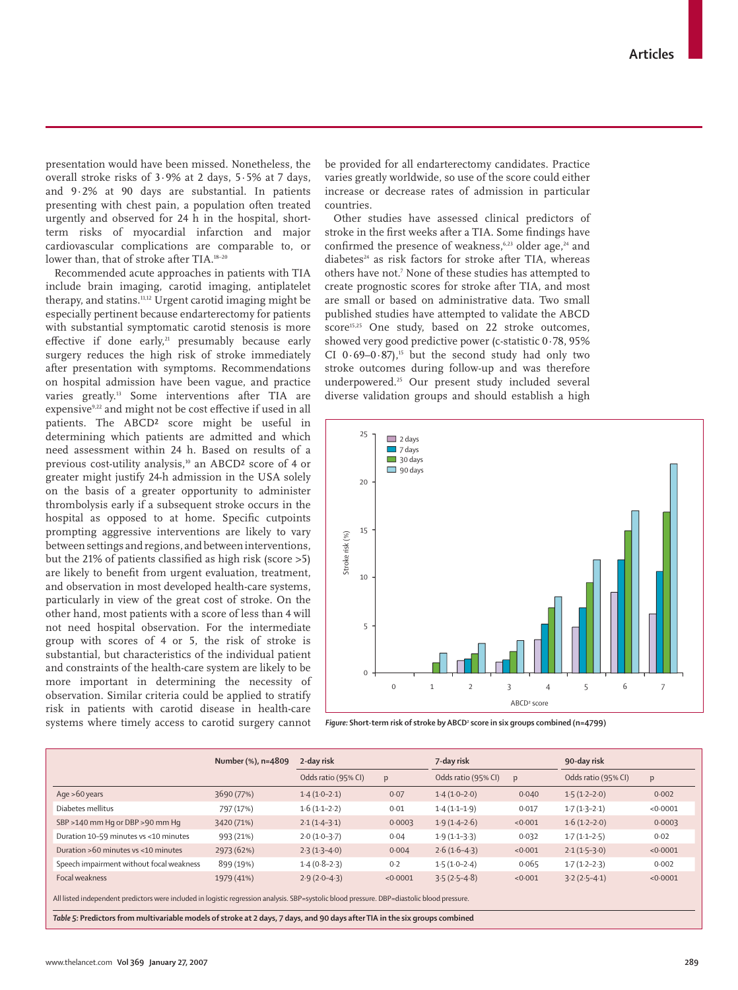presentation would have been missed. Nonetheless, the overall stroke risks of 3·9% at 2 days, 5·5% at 7 days, and 9·2% at 90 days are substantial. In patients presenting with chest pain, a population often treated urgently and observed for 24 h in the hospital, shortterm risks of myocardial infarction and major cardiovascular complications are comparable to, or lower than, that of stroke after TIA.<sup>18-20</sup>

Recommended acute approaches in patients with TIA include brain imaging, carotid imaging, antiplatelet therapy, and statins.11,12 Urgent carotid imaging might be especially pertinent because endarterectomy for patients with substantial symptomatic carotid stenosis is more effective if done early, $21$  presumably because early surgery reduces the high risk of stroke immediately after presentation with symptoms. Recommendations on hospital admission have been vague, and practice varies greatly.13 Some interventions after TIA are expensive<sup>9,22</sup> and might not be cost effective if used in all patients. The ABCD² score might be useful in determining which patients are admitted and which need assessment within 24 h. Based on results of a previous cost-utility analysis,<sup>10</sup> an ABCD<sup>2</sup> score of 4 or greater might justify 24-h admission in the USA solely on the basis of a greater opportunity to administer thrombolysis early if a subsequent stroke occurs in the hospital as opposed to at home. Specific cutpoints prompting aggressive interventions are likely to vary between settings and regions, and between interventions, but the 21% of patients classified as high risk (score  $>5$ ) are likely to benefit from urgent evaluation, treatment, and observation in most developed health-care systems, particularly in view of the great cost of stroke. On the other hand, most patients with a score of less than 4 will not need hospital observation. For the intermediate group with scores of 4 or 5, the risk of stroke is substantial, but characteristics of the individual patient and constraints of the health-care system are likely to be more important in determining the necessity of observation. Similar criteria could be applied to stratify risk in patients with carotid disease in health-care systems where timely access to carotid surgery cannot be provided for all endarterectomy candidates. Practice varies greatly worldwide, so use of the score could either increase or decrease rates of admission in particular countries.

Other studies have assessed clinical predictors of stroke in the first weeks after a TIA. Some findings have confirmed the presence of weakness,<sup>6,23</sup> older age,<sup>24</sup> and diabetes $24$  as risk factors for stroke after TIA, whereas others have not.7 None of these studies has attempted to create prognostic scores for stroke after TIA, and most are small or based on administrative data. Two small published studies have attempted to validate the ABCD score<sup>15,25</sup> One study, based on 22 stroke outcomes, showed very good predictive power (c-statistic 0·78, 95% CI  $0.69-0.87$ ,<sup>15</sup> but the second study had only two stroke outcomes during follow-up and was therefore underpowered.25 Our present study included several diverse validation groups and should establish a high



Figure: Short-term risk of stroke by ABCD<sup>2</sup> score in six groups combined (n=4799)

|                                                                                                                                                                                                                                                                            | Number (%), n=4809 | 2-day risk          |          | 7-day risk          |         | 90-day risk         |          |  |  |  |
|----------------------------------------------------------------------------------------------------------------------------------------------------------------------------------------------------------------------------------------------------------------------------|--------------------|---------------------|----------|---------------------|---------|---------------------|----------|--|--|--|
|                                                                                                                                                                                                                                                                            |                    | Odds ratio (95% CI) | p        | Odds ratio (95% CI) | p       | Odds ratio (95% CI) | p        |  |  |  |
| Age $>60$ years                                                                                                                                                                                                                                                            | 3690 (77%)         | $1.4(1.0-2.1)$      | 0.07     | $1.4(1.0-2.0)$      | 0.040   | $1.5(1.2-2.0)$      | 0.002    |  |  |  |
| Diabetes mellitus                                                                                                                                                                                                                                                          | 797 (17%)          | $1.6(1.1-2.2)$      | 0.01     | $1.4(1.1-1.9)$      | 0.017   | $1.7(1.3-2.1)$      | < 0.0001 |  |  |  |
| SBP >140 mm Hg or DBP >90 mm Hg                                                                                                                                                                                                                                            | 3420 (71%)         | $2.1(1.4-3.1)$      | 0.0003   | $1.9(1.4-2.6)$      | < 0.001 | $1.6(1.2-2.0)$      | 0.0003   |  |  |  |
| Duration 10-59 minutes vs <10 minutes                                                                                                                                                                                                                                      | 993 (21%)          | $2.0(1.0-3.7)$      | 0.04     | $1.9(1.1-3.3)$      | 0.032   | $1.7(1.1-2.5)$      | 0.02     |  |  |  |
| Duration >60 minutes ys <10 minutes                                                                                                                                                                                                                                        | 2973 (62%)         | $2.3(1.3-4.0)$      | 0.004    | $2.6(1.6-4.3)$      | < 0.001 | $2.1(1.5-3.0)$      | < 0.0001 |  |  |  |
| Speech impairment without focal weakness                                                                                                                                                                                                                                   | 899 (19%)          | $1.4(0.8-2.3)$      | 0.2      | $1.5(1.0-2.4)$      | 0.065   | $1.7(1.2-2.3)$      | 0.002    |  |  |  |
| Focal weakness                                                                                                                                                                                                                                                             | 1979 (41%)         | $2.9(2.0-4.3)$      | < 0.0001 | $3.5(2.5-4.8)$      | < 0.001 | $3.2(2.5 - 4.1)$    | < 0.0001 |  |  |  |
| All listed independent predictors were included in logistic regression analysis. SBP=systolic blood pressure. DBP=diastolic blood pressure.<br>Table 5: Predictors from multivariable models of stroke at 2 days, 7 days, and 90 days after TIA in the six groups combined |                    |                     |          |                     |         |                     |          |  |  |  |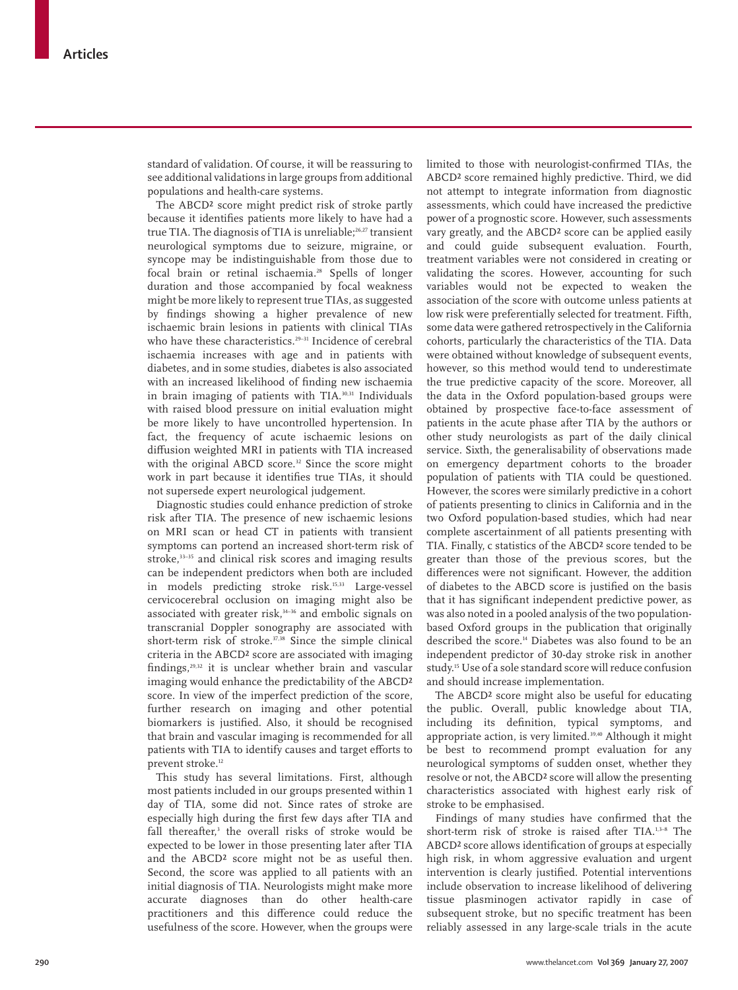standard of validation. Of course, it will be reassuring to see additional validations in large groups from additional populations and health-care systems.

The ABCD² score might predict risk of stroke partly because it identifies patients more likely to have had a true TIA. The diagnosis of TIA is unreliable;<sup>26,27</sup> transient neurological symptoms due to seizure, migraine, or syncope may be indistinguishable from those due to focal brain or retinal ischaemia.<sup>28</sup> Spells of longer duration and those accompanied by focal weakness might be more likely to represent true TIAs, as suggested by findings showing a higher prevalence of new ischaemic brain lesions in patients with clinical TIAs who have these characteristics.<sup>29-31</sup> Incidence of cerebral ischaemia increases with age and in patients with diabetes, and in some studies, diabetes is also associated with an increased likelihood of finding new ischaemia in brain imaging of patients with TIA.30,31 Individuals with raised blood pressure on initial evaluation might be more likely to have uncontrolled hypertension. In fact, the frequency of acute ischaemic lesions on diffusion weighted MRI in patients with TIA increased with the original ABCD score.<sup>32</sup> Since the score might work in part because it identifies true TIAs, it should not supersede expert neurological judgement.

Diagnostic studies could enhance prediction of stroke risk after TIA. The presence of new ischaemic lesions on MRI scan or head CT in patients with transient symptoms can portend an increased short-term risk of stroke,<sup>33-35</sup> and clinical risk scores and imaging results can be independent predictors when both are included in models predicting stroke risk.15,33 Large-vessel cervicocerebral occlusion on imaging might also be associated with greater risk, $34-36$  and embolic signals on transcranial Doppler sonography are associated with short-term risk of stroke.<sup>37,38</sup> Since the simple clinical criteria in the ABCD² score are associated with imaging findings,<sup>29,32</sup> it is unclear whether brain and vascular imaging would enhance the predictability of the ABCD² score. In view of the imperfect prediction of the score, further research on imaging and other potential biomarkers is justified. Also, it should be recognised that brain and vascular imaging is recommended for all patients with TIA to identify causes and target efforts to prevent stroke.12

This study has several limitations. First, although most patients included in our groups presented within 1 day of TIA, some did not. Since rates of stroke are especially high during the first few days after TIA and fall thereafter,3 the overall risks of stroke would be expected to be lower in those presenting later after TIA and the ABCD² score might not be as useful then. Second, the score was applied to all patients with an initial diagnosis of TIA. Neurologists might make more accurate diagnoses than do other health-care practitioners and this difference could reduce the usefulness of the score. However, when the groups were

limited to those with neurologist-confirmed TIAs, the ABCD² score remained highly predictive. Third, we did not attempt to integrate information from diagnostic assessments, which could have increased the predictive power of a prognostic score. However, such assessments vary greatly, and the ABCD² score can be applied easily and could guide subsequent evaluation. Fourth, treatment variables were not considered in creating or validating the scores. However, accounting for such variables would not be expected to weaken the association of the score with outcome unless patients at low risk were preferentially selected for treatment. Fifth, some data were gathered retrospectively in the California cohorts, particularly the characteristics of the TIA. Data were obtained without knowledge of subsequent events, however, so this method would tend to underestimate the true predictive capacity of the score. Moreover, all the data in the Oxford population-based groups were obtained by prospective face-to-face assessment of patients in the acute phase after TIA by the authors or other study neurologists as part of the daily clinical service. Sixth, the generalisability of observations made on emergency department cohorts to the broader population of patients with TIA could be questioned. However, the scores were similarly predictive in a cohort of patients presenting to clinics in California and in the two Oxford population-based studies, which had near complete ascertainment of all patients presenting with TIA. Finally, c statistics of the ABCD² score tended to be greater than those of the previous scores, but the differences were not significant. However, the addition of diabetes to the ABCD score is justified on the basis that it has significant independent predictive power, as was also noted in a pooled analysis of the two populationbased Oxford groups in the publication that originally described the score.14 Diabetes was also found to be an independent predictor of 30-day stroke risk in another study.15 Use of a sole standard score will reduce confusion and should increase implementation.

The ABCD² score might also be useful for educating the public. Overall, public knowledge about TIA, including its definition, typical symptoms, and appropriate action, is very limited.<sup>39,40</sup> Although it might be best to recommend prompt evaluation for any neurological symptoms of sudden onset, whether they resolve or not, the ABCD² score will allow the presenting characteristics associated with highest early risk of stroke to be emphasised.

Findings of many studies have confirmed that the short-term risk of stroke is raised after TIA.1,3–8 The ABCD<sup>2</sup> score allows identification of groups at especially high risk, in whom aggressive evaluation and urgent intervention is clearly justified. Potential interventions include observation to increase likelihood of delivering tissue plasminogen activator rapidly in case of subsequent stroke, but no specific treatment has been reliably assessed in any large-scale trials in the acute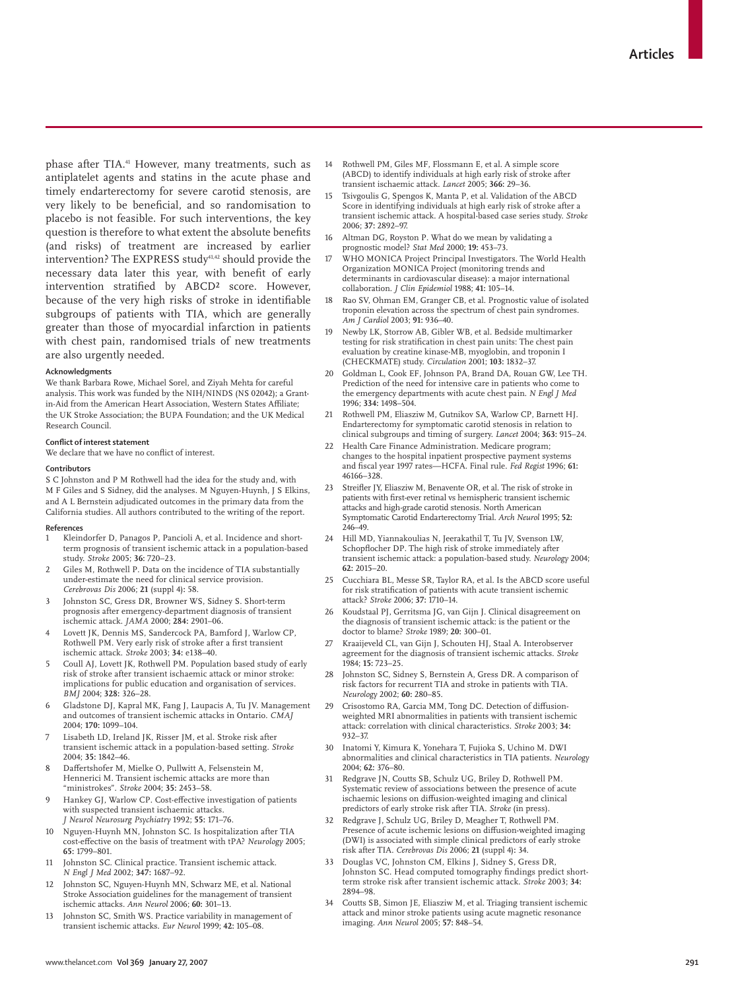phase after TIA.41 However, many treatments, such as antiplatelet agents and statins in the acute phase and timely endarterectomy for severe carotid stenosis, are very likely to be beneficial, and so randomisation to placebo is not feasible. For such interventions, the key question is therefore to what extent the absolute benefits (and risks) of treatment are increased by earlier intervention? The EXPRESS study<sup>41,42</sup> should provide the necessary data later this year, with benefit of early intervention stratified by ABCD<sup>2</sup> score. However, because of the very high risks of stroke in identifiable subgroups of patients with TIA, which are generally greater than those of myocardial infarction in patients with chest pain, randomised trials of new treatments are also urgently needed.

#### **Acknowledgments**

We thank Barbara Rowe, Michael Sorel, and Ziyah Mehta for careful analysis. This work was funded by the NIH/NINDS (NS 02042); a Grantin-Aid from the American Heart Association, Western States Affiliate: the UK Stroke Association; the BUPA Foundation; and the UK Medical Research Council.

#### **Conflict of interest statement**

We declare that we have no conflict of interest.

#### **Contributors**

S C Johnston and P M Rothwell had the idea for the study and, with M F Giles and S Sidney, did the analyses. M Nguyen-Huynh, J S Elkins, and A L Bernstein adjudicated outcomes in the primary data from the California studies. All authors contributed to the writing of the report.

#### **References**

- Kleindorfer D, Panagos P, Pancioli A, et al. Incidence and shortterm prognosis of transient ischemic attack in a population-based study. *Stroke* 2005; **36:** 720–23.
- Giles M, Rothwell P. Data on the incidence of TIA substantially under-estimate the need for clinical service provision. *Cerebrovas Dis* 2006; **21** (suppl 4)**:** 58.
- 3 Johnston SC, Gress DR, Browner WS, Sidney S. Short-term prognosis after emergency-department diagnosis of transient ischemic attack. *JAMA* 2000; **284:** 2901–06.
- Lovett JK, Dennis MS, Sandercock PA, Bamford J, Warlow CP, Rothwell PM. Very early risk of stroke after a first transient ischemic attack. *Stroke* 2003; **34:** e138–40.
- 5 Coull AJ, Lovett JK, Rothwell PM. Population based study of early risk of stroke after transient ischaemic attack or minor stroke: implications for public education and organisation of services. *BMJ* 2004; **328:** 326–28.
- 6 Gladstone DJ, Kapral MK, Fang J, Laupacis A, Tu JV. Management and outcomes of transient ischemic attacks in Ontario. *CMAJ* 2004; **170:** 1099–104.
- Lisabeth LD, Ireland JK, Risser JM, et al. Stroke risk after transient ischemic attack in a population-based setting. *Stroke* 2004; **35:** 1842–46.
- Daffertshofer M, Mielke O, Pullwitt A, Felsenstein M, Hennerici M. Transient ischemic attacks are more than "ministrokes". *Stroke* 2004; **35:** 2453–58.
- Hankey GJ, Warlow CP. Cost-effective investigation of patients with suspected transient ischaemic attacks. *J Neurol Neurosurg Psychiatry* 1992; **55:** 171–76.
- 10 Nguyen-Huynh MN, Johnston SC. Is hospitalization after TIA cost-effective on the basis of treatment with tPA? *Neurology* 2005; **65:** 1799–801.
- 11 Johnston SC. Clinical practice. Transient ischemic attack. *N Engl J Med* 2002; **347:** 1687–92.
- 12 Johnston SC, Nguyen-Huynh MN, Schwarz ME, et al. National Stroke Association guidelines for the management of transient ischemic attacks. *Ann Neurol* 2006; **60:** 301–13.
- 13 Iohnston SC. Smith WS. Practice variability in management of transient ischemic attacks. *Eur Neurol* 1999; **42:** 105–08.
- 14 Rothwell PM, Giles MF, Flossmann E, et al. A simple score (ABCD) to identify individuals at high early risk of stroke after transient ischaemic attack. *Lancet* 2005; **366:** 29–36.
- 15 Tsivgoulis G, Spengos K, Manta P, et al. Validation of the ABCD Score in identifying individuals at high early risk of stroke after a transient ischemic attack. A hospital-based case series study. *Stroke* 2006; **37:** 2892–97.
- Altman DG, Royston P. What do we mean by validating a prognostic model? *Stat Med* 2000; **19:** 453–73.
- 17 WHO MONICA Project Principal Investigators. The World Health Organization MONICA Project (monitoring trends and determinants in cardiovascular disease): a major international collaboration. *J Clin Epidemiol* 1988; **41:** 105–14.
- Rao SV, Ohman EM, Granger CB, et al. Prognostic value of isolated troponin elevation across the spectrum of chest pain syndromes. *Am J Cardiol* 2003; **91:** 936–40.
- 19 Newby LK, Storrow AB, Gibler WB, et al. Bedside multimarker testing for risk stratification in chest pain units: The chest pain evaluation by creatine kinase-MB, myoglobin, and troponin I (CHECKMATE) study. *Circulation* 2001; **103:** 1832–37.
- 20 Goldman L, Cook EF, Johnson PA, Brand DA, Rouan GW, Lee TH. Prediction of the need for intensive care in patients who come to the emergency departments with acute chest pain. *N Engl J Med* 1996; **334:** 1498–504.
- 21 Rothwell PM, Eliasziw M, Gutnikov SA, Warlow CP, Barnett HJ. Endarterectomy for symptomatic carotid stenosis in relation to clinical subgroups and timing of surgery. *Lancet* 2004; **363:** 915–24.
- 22 Health Care Finance Administration. Medicare program; changes to the hospital inpatient prospective payment systems and fiscal year 1997 rates—HCFA. Final rule. *Fed Regist* 1996; 61: 46166–328.
- 23 Streifler JY, Eliasziw M, Benavente OR, et al. The risk of stroke in patients with first-ever retinal vs hemispheric transient ischemic attacks and high-grade carotid stenosis. North American Symptomatic Carotid Endarterectomy Trial. *Arch Neurol* 1995; **52:** 246–49.
- 24 Hill MD, Yiannakoulias N, Jeerakathil T, Tu JV, Svenson LW, Schopflocher DP. The high risk of stroke immediately after transient ischemic attack: a population-based study. *Neurology* 2004; **62:** 2015–20.
- 25 Cucchiara BL, Messe SR, Taylor RA, et al. Is the ABCD score useful for risk stratification of patients with acute transient ischemic attack? *Stroke* 2006; **37:** 1710–14.
- 26 Koudstaal PJ, Gerritsma JG, van Gijn J. Clinical disagreement on the diagnosis of transient ischemic attack: is the patient or the doctor to blame? *Stroke* 1989; **20:** 300–01.
- 27 Kraaijeveld CL, van Gijn J, Schouten HJ, Staal A. Interobserver agreement for the diagnosis of transient ischemic attacks. *Stroke* 1984; **15:** 723–25.
- 28 Johnston SC, Sidney S, Bernstein A, Gress DR. A comparison of risk factors for recurrent TIA and stroke in patients with TIA. *Neurology* 2002; **60:** 280–85.
- 29 Crisostomo RA, Garcia MM, Tong DC. Detection of diffusionweighted MRI abnormalities in patients with transient ischemic attack: correlation with clinical characteristics. *Stroke* 2003; **34:**  932–37.
- 30 Inatomi Y, Kimura K, Yonehara T, Fujioka S, Uchino M. DWI abnormalities and clinical characteristics in TIA patients. *Neurology* 2004; **62:** 376–80.
- 31 Redgrave JN, Coutts SB, Schulz UG, Briley D, Rothwell PM. Systematic review of associations between the presence of acute ischaemic lesions on diffusion-weighted imaging and clinical predictors of early stroke risk after TIA. *Stroke* (in press).
- 32 Redgrave J, Schulz UG, Briley D, Meagher T, Rothwell PM. Presence of acute ischemic lesions on diffusion-weighted imaging (DWI) is associated with simple clinical predictors of early stroke risk after TIA. *Cerebrovas Dis* 2006; **21** (suppl 4)**:** 34.
- 33 Douglas VC, Johnston CM, Elkins J, Sidney S, Gress DR, Johnston SC. Head computed tomography findings predict shortterm stroke risk after transient ischemic attack. *Stroke* 2003; **34:**  2894–98.
- Coutts SB, Simon JE, Eliasziw M, et al. Triaging transient ischemic attack and minor stroke patients using acute magnetic resonance imaging. *Ann Neurol* 2005; **57:** 848–54.